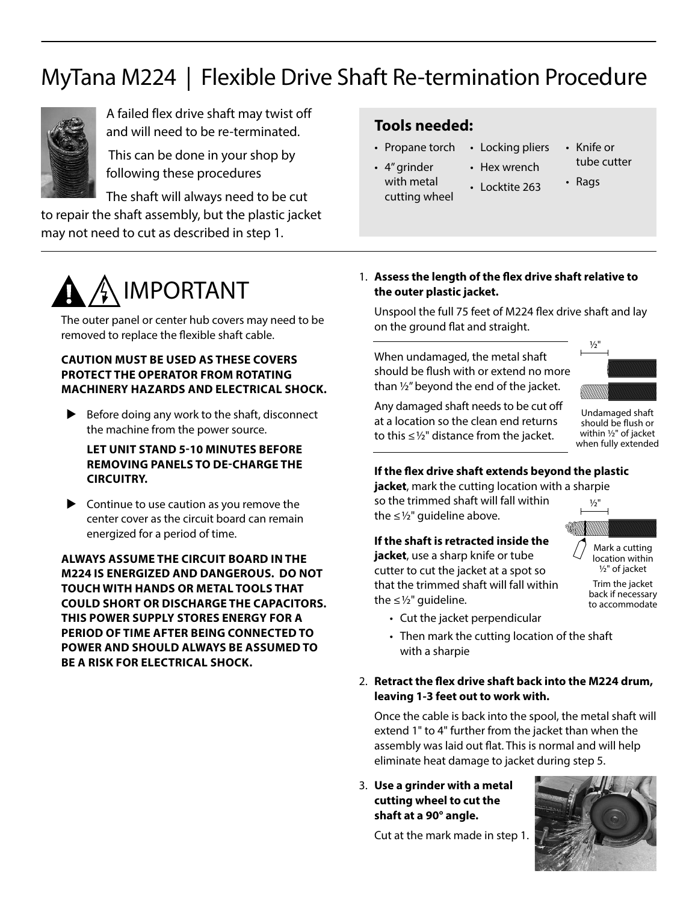# MyTana M224 | Flexible Drive Shaft Re-termination Procedure



A failed flex drive shaft may twist off and will need to be re-terminated.

 This can be done in your shop by following these procedures

The shaft will always need to be cut to repair the shaft assembly, but the plastic jacket

may not need to cut as described in step 1.

# **Tools needed:**

- Propane torch
	- Locking pliers • Hex wrench
- 4" grinder with metal cutting wheel • Locktite 263
- Knife or tube cutter
	- Rags
- 

# IMPORTANT

The outer panel or center hub covers may need to be removed to replace the flexible shaft cable.

# **CAUTION MUST BE USED AS THESE COVERS PROTECT THE OPERATOR FROM ROTATING MACHINERY HAZARDS AND ELECTRICAL SHOCK.**

 $\blacktriangleright$  Before doing any work to the shaft, disconnect the machine from the power source.

**LET UNIT STAND 5-10 MINUTES BEFORE REMOVING PANELS TO DE-CHARGE THE CIRCUITRY.** 

 $\triangleright$  Continue to use caution as you remove the center cover as the circuit board can remain energized for a period of time.

**ALWAYS ASSUME THE CIRCUIT BOARD IN THE M224 IS ENERGIZED AND DANGEROUS. DO NOT TOUCH WITH HANDS OR METAL TOOLS THAT COULD SHORT OR DISCHARGE THE CAPACITORS. THIS POWER SUPPLY STORES ENERGY FOR A PERIOD OF TIME AFTER BEING CONNECTED TO POWER AND SHOULD ALWAYS BE ASSUMED TO BE A RISK FOR ELECTRICAL SHOCK.**

1. **Assess the length of the flex drive shaft relative to the outer plastic jacket.**

Unspool the full 75 feet of M224 flex drive shaft and lay on the ground flat and straight.

When undamaged, the metal shaft should be flush with or extend no more than  $\frac{1}{2}$ " beyond the end of the jacket.



Any damaged shaft needs to be cut off at a location so the clean end returns to this  $\leq 1/2$ " distance from the jacket.

Undamaged shaft should be flush or within 1/2" of jacket when fully extended

# **If the flex drive shaft extends beyond the plastic**

**jacket**, mark the cutting location with a sharpie so the trimmed shaft will fall within the  $\leq$  1/<sub>2</sub>" quideline above.  $1/2"$ 

# **If the shaft is retracted inside the**

**jacket**, use a sharp knife or tube cutter to cut the jacket at a spot so that the trimmed shaft will fall within the  $\leq$  1/2" guideline.



location within 1/2" of jacket

Trim the jacket back if necessary to accommodate

- Cut the jacket perpendicular
- Then mark the cutting location of the shaft with a sharpie
- 2. **Retract the flex drive shaft back into the M224 drum, leaving 1-3 feet out to work with.**

Once the cable is back into the spool, the metal shaft will extend 1" to 4" further from the jacket than when the assembly was laid out flat. This is normal and will help eliminate heat damage to jacket during step 5.

3. **Use a grinder with a metal cutting wheel to cut the shaft at a 90° angle.** 

Cut at the mark made in step 1.